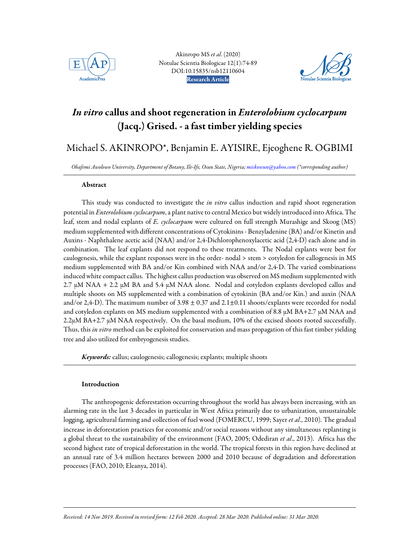

Akinropo MS *et al*. (2020) Notulae Scientia Biologicae 12(1):74-89 DOI:10.15835/nsb12110604 Research Article AcademicPres Notulae Scientia Biologicae



# In vitro callus and shoot regeneration in Enterolobium cyclocarpum (Jacq.) Grised. - a fast timber yielding species

## Michael S. AKINROPO\*, Benjamin E. AYISIRE, Ejeoghene R. OGBIMI

*Obafemi Awolowo University, Department of Botany, Ile-Ife, Osun State, Nigeria; mickoseun@yahoo.com (\*corresponding author)* 

## Abstract

This study was conducted to investigate the *in vitro* callus induction and rapid shoot regeneration potential in *Enterolobium cyclocarpum*, a plant native to central Mexico but widely introduced into Africa. The leaf, stem and nodal explants of *E. cyclocarpum* were cultured on full strength Murashige and Skoog (MS) medium supplemented with different concentrations of Cytokinins - Benzyladenine (BA) and/or Kinetin and Auxins - Naphthalene acetic acid (NAA) and/or 2,4-Dichlorophenoxylacetic acid (2,4-D) each alone and in combination. The leaf explants did not respond to these treatments. The Nodal explants were best for caulogenesis, while the explant responses were in the order- nodal > stem > cotyledon for callogenesis in MS medium supplemented with BA and/or Kin combined with NAA and/or 2,4-D. The varied combinations induced white compact callus. The highest callus production was observed on MS medium supplemented with 2.7  $\mu$ M NAA + 2.2  $\mu$ M BA and 5.4  $\mu$ M NAA alone. Nodal and cotyledon explants developed callus and multiple shoots on MS supplemented with a combination of cytokinin (BA and/or Kin.) and auxin (NAA and/or 2,4-D). The maximum number of  $3.98 \pm 0.37$  and  $2.1 \pm 0.11$  shoots/explants were recorded for nodal and cotyledon explants on MS medium supplemented with a combination of 8.8  $\mu$ M BA+2.7  $\mu$ M NAA and 2.2µM BA+2.7 µM NAA respectively. On the basal medium, 10% of the excised shoots rooted successfully. Thus, this *in vitro* method can be exploited for conservation and mass propagation of this fast timber yielding tree and also utilized for embryogenesis studies.

Keywords: callus; caulogenesis; callogenesis; explants; multiple shoots

## Introduction

j

The anthropogenic deforestation occurring throughout the world has always been increasing, with an alarming rate in the last 3 decades in particular in West Africa primarily due to urbanization, unsustainable logging, agricultural farming and collection of fuel wood (FOMERCU, 1999; Sayer *et al*., 2010). The gradual increase in deforestation practices for economic and/or social reasons without any simultaneous replanting is a global threat to the sustainability of the environment (FAO, 2005; Odediran *et al*., 2013). Africa has the second highest rate of tropical deforestation in the world. The tropical forests in this region have declined at an annual rate of 3.4 million hectares between 2000 and 2010 because of degradation and deforestation processes (FAO, 2010; Eleanya, 2014).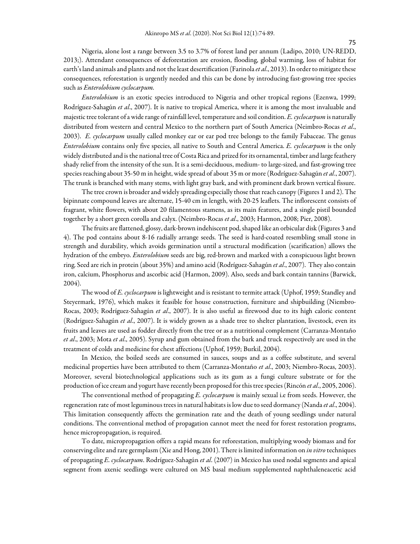Nigeria, alone lost a range between 3.5 to 3.7% of forest land per annum (Ladipo, 2010; UN-REDD, 2013;). Attendant consequences of deforestation are erosion, flooding, global warming, loss of habitat for earth's land animals and plants and not the least desertification (Farinola *et al*., 2013). In order to mitigate these consequences, reforestation is urgently needed and this can be done by introducing fast-growing tree species such as *Enterolobium cyclocarpum.*

*Enterolobium* is an exotic species introduced to Nigeria and other tropical regions (Ezenwa, 1999; Rodríguez-Sahagún *et al*., 2007). It is native to tropical America, where it is among the most invaluable and majestic tree tolerant of a wide range of rainfall level, temperature and soil condition. *E. cyclocarpum* is naturally distributed from western and central Mexico to the northern part of South America (Neimbro-Rocas *et al*., 2003). *E. cyclocarpum* usually called monkey ear or ear pod tree belongs to the family Fabaceae. The genus *Enterolobium* contains only five species, all native to South and Central America. *E. cyclocarpum* is the only widely distributed and is the national tree of Costa Rica and prized for its ornamental, timber and large feathery shady relief from the intensity of the sun. It is a semi-deciduous, medium- to large-sized, and fast-growing tree species reaching about 35-50 m in height, wide spread of about 35 m or more (Rodríguez-Sahagún *et al*., 2007). The trunk is branched with many stems, with light gray bark, and with prominent dark brown vertical fissure.

The tree crown is broader and widely spreading especially those that reach canopy (Figures 1 and 2). The bipinnate compound leaves are alternate, 15-40 cm in length, with 20-25 leaflets. The inflorescent consists of fragrant, white flowers, with about 20 filamentous stamens, as its main features, and a single pistil bounded together by a short green corolla and calyx. (Neimbro-Rocas *et al*., 2003; Harmon, 2008; Pier, 2008).

The fruits are flattened, glossy, dark-brown indehiscent pod, shaped like an orbicular disk (Figures 3 and 4). The pod contains about 8-16 radially arrange seeds. The seed is hard-coated resembling small stone in strength and durability, which avoids germination until a structural modification (scarification) allows the hydration of the embryo. *Enterolobium* seeds are big, red-brown and marked with a conspicuous light brown ring. Seed are rich in protein (about 35%) and amino acid (Rodríguez-Sahagún *et al*., 2007). They also contain iron, calcium, Phosphorus and ascorbic acid (Harmon, 2009). Also, seeds and bark contain tannins (Barwick, 2004).

The wood of *E. cyclocarpum* is lightweight and is resistant to termite attack (Uphof, 1959; Standley and Steyermark, 1976), which makes it feasible for house construction, furniture and shipbuilding (Niembro-Rocas, 2003; Rodríguez-Sahagún *et al*., 2007). It is also useful as firewood due to its high caloric content (Rodríguez-Sahagún *et al*., 2007). It is widely grown as a shade tree to shelter plantation, livestock, even its fruits and leaves are used as fodder directly from the tree or as a nutritional complement (Carranza-Montaño *et al*., 2003; Mota *et al*., 2005). Syrup and gum obtained from the bark and truck respectively are used in the treatment of colds and medicine for chest affections (Uphof, 1959; Burkil, 2004).

In Mexico, the boiled seeds are consumed in sauces, soups and as a coffee substitute, and several medicinal properties have been attributed to them (Carranza-Montaño *et al*., 2003; Niembro-Rocas, 2003). Moreover, several biotechnological applications such as its gum as a fungi culture substrate or for the production of ice cream and yogurt have recently been proposed for this tree species (Rincón *et al*., 2005, 2006).

The conventional method of propagating *E. cyclocarpum* is mainly sexual i.e from seeds. However, the regeneration rate of most leguminous trees in natural habitats is low due to seed dormancy (Nanda *et al*., 2004). This limitation consequently affects the germination rate and the death of young seedlings under natural conditions. The conventional method of propagation cannot meet the need for forest restoration programs, hence micropropagation, is required.

To date, micropropagation offers a rapid means for reforestation, multiplying woody biomass and for conserving elite and rare germplasm (Xie and Hong, 2001). There is limited information on *in vitro* techniques of propagating *E. cyclocarpum*. Rodríguez-Sahagún *et al*. (2007) in Mexico has used nodal segments and apical segment from axenic seedlings were cultured on MS basal medium supplemented naphthaleneacetic acid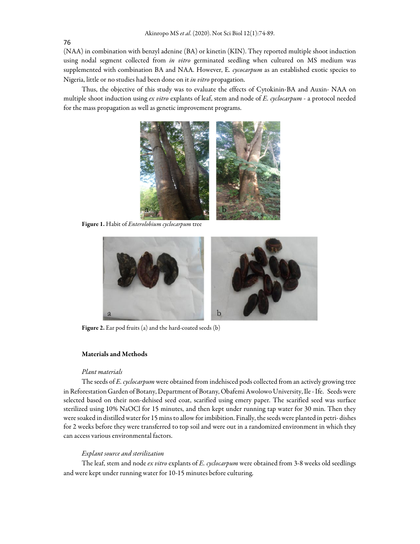76

(NAA) in combination with benzyl adenine (BA) or kinetin (KIN). They reported multiple shoot induction using nodal segment collected from *in vitro* germinated seedling when cultured on MS medium was supplemented with combination BA and NAA. However, E*. cycocarpum* as an established exotic species to Nigeria, little or no studies had been done on it *in vitro* propagation.

Thus, the objective of this study was to evaluate the effects of Cytokinin-BA and Auxin- NAA on multiple shoot induction using *ex vitro* explants of leaf, stem and node of *E. cyclocarpum* - a protocol needed for the mass propagation as well as genetic improvement programs.



Figure 1. Habit of *Enterolobium cyclocarpum* tree



Figure 2. Ear pod fruits (a) and the hard-coated seeds (b)

## Materials and Methods

#### *Plant materials*

The seeds of *E. cyclocarpum* were obtained from indehisced pods collected from an actively growing tree in Reforestation Garden of Botany, Department of Botany, Obafemi Awolowo University, Ile - Ife. Seeds were selected based on their non-dehised seed coat, scarified using emery paper. The scarified seed was surface sterilized using 10% NaOCl for 15 minutes, and then kept under running tap water for 30 min. Then they were soaked in distilled water for 15 mins to allow for imbibition. Finally, the seeds were planted in petri- dishes for 2 weeks before they were transferred to top soil and were out in a randomized environment in which they can access various environmental factors.

#### *Explant source and sterilization*

The leaf, stem and node *ex vitro* explants of *E. cyclocarpum* were obtained from 3-8 weeks old seedlings and were kept under running water for 10-15 minutes before culturing.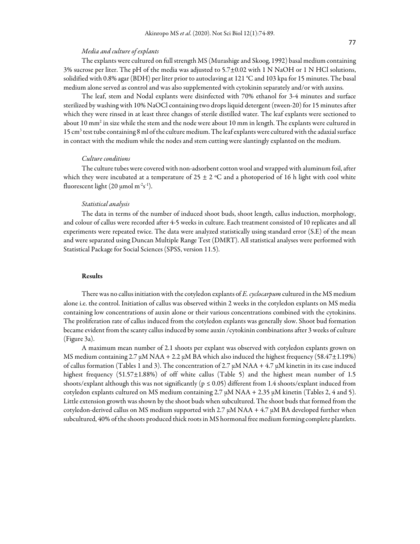#### *Media and culture of explants*

The explants were cultured on full strength MS (Murashige and Skoog, 1992) basal medium containing 3% sucrose per liter. The pH of the media was adjusted to 5.7±0.02 with 1 N NaOH or 1 N HCl solutions, solidified with 0.8% agar (BDH) per liter prior to autoclaving at 121 °C and 103 kpa for 15 minutes. The basal medium alone served as control and was also supplemented with cytokinin separately and/or with auxins.

The leaf, stem and Nodal explants were disinfected with 70% ethanol for 3-4 minutes and surface sterilized by washing with 10% NaOCl containing two drops liquid detergent (tween-20) for 15 minutes after which they were rinsed in at least three changes of sterile distilled water. The leaf explants were sectioned to about 10 mm<sup>2</sup> in size while the stem and the node were about 10 mm in length. The explants were cultured in 15 cm<sup>3</sup> test tube containing 8 ml of the culture medium. The leaf explants were cultured with the adaxial surface in contact with the medium while the nodes and stem cutting were slantingly explanted on the medium.

#### *Culture conditions*

The culture tubes were covered with non-adsorbent cotton wool and wrapped with aluminum foil, after which they were incubated at a temperature of  $25 \pm 2$  °C and a photoperiod of 16 h light with cool white fluorescent light (20  $\mu$ mol m<sup>-2</sup>s<sup>-1</sup>).

#### *Statistical analysis*

The data in terms of the number of induced shoot buds, shoot length, callus induction, morphology, and colour of callus were recorded after 4-5 weeks in culture. Each treatment consisted of 10 replicates and all experiments were repeated twice. The data were analyzed statistically using standard error (S.E) of the mean and were separated using Duncan Multiple Range Test (DMRT). All statistical analyses were performed with Statistical Package for Social Sciences (SPSS, version 11.5).

## Results

There was no callus initiation with the cotyledon explants of *E. cyclocarpum* cultured in the MS medium alone i.e. the control. Initiation of callus was observed within 2 weeks in the cotyledon explants on MS media containing low concentrations of auxin alone or their various concentrations combined with the cytokinins. The proliferation rate of callus induced from the cotyledon explants was generally slow. Shoot bud formation became evident from the scanty callus induced by some auxin /cytokinin combinations after 3 weeks of culture (Figure 3a).

A maximum mean number of 2.1 shoots per explant was observed with cotyledon explants grown on MS medium containing 2.7 µM NAA + 2.2 µM BA which also induced the highest frequency (58.47±1.19%) of callus formation (Tables 1 and 3). The concentration of 2.7 µM NAA + 4.7 µM kinetin in its case induced highest frequency  $(51.57\pm1.88\%)$  of off white callus (Table 5) and the highest mean number of 1.5 shoots/explant although this was not significantly ( $p \le 0.05$ ) different from 1.4 shoots/explant induced from cotyledon explants cultured on MS medium containing 2.7 µM NAA + 2.35 µM kinetin (Tables 2, 4 and 5). Little extension growth was shown by the shoot buds when subcultured. The shoot buds that formed from the cotyledon-derived callus on MS medium supported with 2.7  $\mu$ M NAA + 4.7  $\mu$ M BA developed further when subcultured, 40% of the shoots produced thick roots in MS hormonal free medium forming complete plantlets.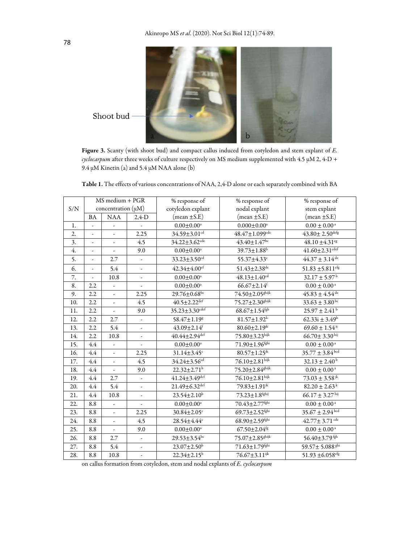

Figure 3. Scanty (with shoot bud) and compact callus induced from cotyledon and stem explant of *E. cyclocarpum* after three weeks of culture respectively on MS medium supplemented with 4.5 μM 2, 4-D + 9.4 μM Kinetin (a) and 5.4 μM NAA alone (b)

|     |               | MS medium + PGR          |                          | % response of                    | % response of                    | % response of                    |
|-----|---------------|--------------------------|--------------------------|----------------------------------|----------------------------------|----------------------------------|
| S/N |               | concentration $(\mu M)$  |                          | cotyledon explant                | nodal explant                    | stem explant                     |
|     | <b>BA</b>     | $\rm NAA$                | $2,4$ -D                 | $(mean \pm S.E)$                 | $(mean \pm S.E)$                 | $(mean \pm S.E)$                 |
| 1.  |               |                          |                          | $0.00 \pm 0.00^a$                | $0.000 \pm 0.00$ <sup>a</sup>    | $0.00 \pm 0.00^{\text{ a}}$      |
| 2.  |               |                          | 2.25                     | $34.59 \pm 3.01$ <sup>cd</sup>   | $48.47 \pm 1.099^{\rm cde}$      | $43.80 \pm 2.50$ <sup>defg</sup> |
| 3.  |               | $\overline{\phantom{a}}$ | 4.5                      | $34.22 \pm 3.62$ <sup>cde</sup>  | $43.40 \pm 1.47$ bc              | $48.10 \pm 4.31$ <sup>cg</sup>   |
| 4.  |               | ÷,                       | 9.0                      | $0.00 \pm 0.00$ <sup>a</sup>     | $39.73 \pm 1.88$ <sup>b</sup>    | $41.60 \pm 2.31$ <sup>cdef</sup> |
| 5.  | $\frac{1}{2}$ | 2.7                      | $\omega$                 | $33.23 \pm 3.50$ <sup>cd</sup>   | 55.37±4.33°                      | $44.37 \pm 3.14$ <sup>de</sup>   |
| 6.  |               | 5.4                      |                          | $42.34 \pm 4.00$ <sup>cf</sup>   | $51.43 \pm 2.38$ de              | 51.83 ± 5.811 <sup>cfg</sup>     |
| 7.  |               | 10.8                     | $\overline{\phantom{a}}$ | $0.00 \pm 0.00$ <sup>a</sup>     | $48.13 \pm 1.40$ <sup>cd</sup>   | $32.17 \pm 5.97^{\circ}$         |
| 8.  | 2.2           | $\overline{\phantom{a}}$ |                          | $0.00\pm0.00^{\mathrm{a}}$       | $66.67 \pm 2.14$ <sup>f</sup>    | $0.00\pm0.00$ $^{\rm a}$         |
| 9.  | 2.2           | $\overline{a}$           | 2.25                     | $29.76 \pm 0.68^{\overline{bc}}$ | 74.50±2.05 <sup>ghijk</sup>      | $45.83 \pm 4.54$ <sup>de</sup>   |
| 10. | 2.2           | $\blacksquare$           | 4.5                      | $40.5 \pm 2.22$ def              | $75.27 \pm 2.30$ ghijk           | $33.63 \pm 3.80$ bc              |
| 11. | 2.2           |                          | 9.0                      | $35.23 \pm 3.30$ cdef            | $68.67 \pm 1.54$ <sup>fgh</sup>  | $25.97 \pm 2.41^{\circ}$         |
| 12. | 2.2           | 2.7                      | $\overline{\phantom{a}}$ | 58.47±1.19g                      | $81.57 \pm 1.92^k$               | $62.33i \pm 3.49h$               |
| 13. | 2.2           | 5.4                      |                          | $43.09 \pm 2.14$                 | $80.60 \pm 2.19^{jk}$            | $69.60 \pm 1.54$ <sup>ij</sup>   |
| 14. | 2.2           | 10.8                     |                          | $40.44 \pm 2.94$ <sup>def</sup>  | 75.80±3.23hijk                   | $66.70 \pm 3.30$ hij             |
| 15. | 4.4           | $\overline{\phantom{a}}$ | $\overline{\phantom{a}}$ | $0.00\pm0.00^{\mathrm{a}}$       | $71.90 \pm 1.96^{\rm fghi}$      | $0.00\pm0.00$ $^{\rm a}$         |
| 16. | 4.4           | ÷,                       | 2.25                     | $31.14 \pm 3.45$ <sup>c</sup>    | $80.57 \pm 1.25^{jk}$            | $35.77 \pm 3.84$ bcd             |
| 17. | 4.4           | $\overline{\phantom{a}}$ | 4.5                      | 34.24±3.56 <sup>cd</sup>         | 76.10±2.81hijk                   | $32.13 \pm 2.40^{\mathrm{b}}$    |
| 18. | 4.4           | $\omega$                 | 9.0                      | $22.32 \pm 2.71$ <sup>b</sup>    | 75.20±2.84 <sup>ghijk</sup>      | $0.00\pm0.00$ $^{\rm a}$         |
| 19. | 4.4           | 2.7                      |                          | $41.24 \pm 3.49$ dcf             | 76.10±2.81hijk                   | $73.03 \pm 3.58$ <sup>jk</sup>   |
| 20. | 4.4           | 5.4                      | $\overline{\phantom{a}}$ | $21.49 \pm 6.32$ def             | 79.83±1.91 <sup>jk</sup>         | $82.20 \pm 2.63^k$               |
| 21. | 4.4           | 10.8                     |                          | $23.54 \pm 2.10^b$               | $73.23 \pm 1.8^{\text{fghij}}$   | $66.17 \pm 3.27$ hij             |
| 22. | 8.8           | $\overline{\phantom{a}}$ |                          | $0.00 \pm 0.00$ <sup>a</sup>     | $70.43 \pm 2.77$ <sup>fghi</sup> | $0.00\pm0.00$ <sup>a</sup>       |
| 23. | 8.8           | $\overline{\phantom{a}}$ | 2.25                     | $30.84 \pm 2.05$ <sup>c</sup>    | 69.73±2.52fghi                   | $35.67 \pm 2.94^{bcd}$           |
| 24. | 8.8           | $\overline{\phantom{a}}$ | 4.5                      | 28.54±4.44 <sup>c</sup>          | $68.90 \pm 2.59$ <sup>fghi</sup> | $42.77 \pm 3.71$ cde             |
| 25. | 8.8           | $\overline{\phantom{a}}$ | 9.0                      | $0.00\pm0.00^{\mathrm{a}}$       | $67.50 \pm 2.04$ <sup>fg</sup>   | $0.00\pm0.00$ $^{\rm a}$         |
| 26. | 8.8           | 2.7                      |                          | $29.53 \pm 3.54^{bc}$            | 75.07±2.85 <sup>ghijk</sup>      | 56.40±3.79 <sup>fgh</sup>        |
| 27. | 8.8           | 5.4                      | L,                       | $23.07 \pm 2.50^{\rm b}$         | $71.63 \pm 1.79^{\rm fghi}$      | 59.57± 5.088 <sup>ghi</sup>      |
| 28. | 8.8           | 10.8                     |                          | $22.34 \pm 2.15^b$               | 76.67±3.11ijk                    | 51.93 $\pm$ 6.058 <sup>cfg</sup> |

Table 1. The effects of various concentrations of NAA, 2,4-D alone or each separately combined with BA

on callus formation from cotyledon, stem and nodal explants of *E. cyclocarpum*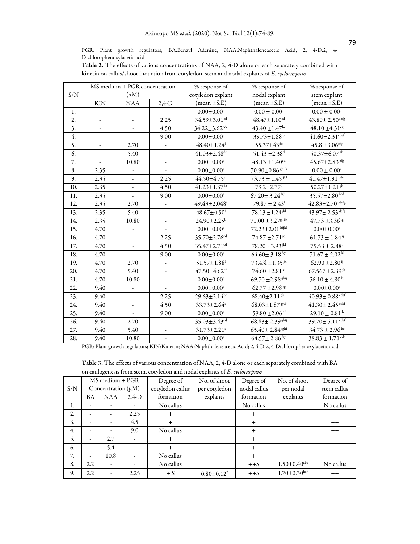PGR: Plant growth regulators; BA:Benzyl Adenine; NAA:Naphthaleneacetic Acid; 2, 4-D:2, 4- Dichlorophenoxylacetic acid

|     | <b>Table 2:</b> The cheets of various concentrations of FWDA, 2, TD alone of each separately combined with<br>kinetin on callus/shoot induction from cotyledon, stem and nodal explants of E. cyclocarpum |                               |         |                   |                  |                  |  |  |
|-----|-----------------------------------------------------------------------------------------------------------------------------------------------------------------------------------------------------------|-------------------------------|---------|-------------------|------------------|------------------|--|--|
|     |                                                                                                                                                                                                           | MS medium + PGR concentration |         | % response of     | % response of    | % response of    |  |  |
| S/N |                                                                                                                                                                                                           | (uM)                          |         | cotyledon explant | nodal explant    | stem explant     |  |  |
|     | <b>KIN</b>                                                                                                                                                                                                | NA A                          | $2.4-D$ | $(mean \pm S.E)$  | (mean $\pm$ S.E) | $(mean \pm S.E)$ |  |  |

Table 2. The effects of various concentrations of NAA, 2, 4-D alone or each separately combined with

1.  $\begin{vmatrix} 1 & -1 \end{vmatrix}$  -  $\begin{vmatrix} 0.00 \pm 0.00^2 \end{vmatrix}$   $\begin{vmatrix} 0.00 \pm 0.00^2 \end{vmatrix}$   $\begin{vmatrix} 0.00 \pm 0.00^2 \end{vmatrix}$   $\begin{vmatrix} 0.00 \pm 0.00^2 \end{vmatrix}$ 2.  $\begin{vmatrix} 2. & 1 & 34.59 \pm 3.01 \end{vmatrix}$  48.47 $\pm$ 1.10<sup>cd</sup>  $\begin{vmatrix} 4.3.80 \pm 2.50 \end{vmatrix}$  43.80 $\pm$ 3.  $\vert$  -  $\vert$  4.50  $\vert$  34.22±3.62<sup>cde</sup> 43.40±1.47<sup>bc</sup> 48.10±4.31<sup>eg</sup> 4.  $\begin{vmatrix} 4. \end{vmatrix}$  -  $\begin{vmatrix} 9.00 \end{vmatrix}$   $\begin{vmatrix} 0.00 \pm 0.00^3 \end{vmatrix}$   $\begin{vmatrix} 39.73 \pm 1.88^b \end{vmatrix}$   $\begin{vmatrix} 41.60 \pm 2.31^{\text{dcf}} \end{vmatrix}$ 5.  $\begin{vmatrix} 2.70 & 48.40 \pm 1.24^f & 55.37 \pm 43^{de} & 45.8 \pm 3.06^{efg} \end{vmatrix}$ 6.  $\begin{vmatrix} 6 & 1 \\ -1 & 5.40 \end{vmatrix}$  -  $\begin{vmatrix} 41.03 \pm 2.48^{d\epsilon} & 51.43 \pm 2.38^{d} \\ 51.43 \pm 2.38^{d} & 50.37 \pm 6.07^{g h} \end{vmatrix}$ 7.  $\begin{vmatrix} 1 & 0.80 \\ 0.080 \end{vmatrix}$  -  $\begin{vmatrix} 0.00 \pm 0.00^3 \\ 0.00 \pm 0.00^4 \end{vmatrix}$  48.13  $\pm 1.40^{\text{cd}}$   $\begin{vmatrix} 45.67 \pm 2.83^{\text{cg}} \\ 45.67 \pm 2.83^{\text{cg}} \end{vmatrix}$ 8.  $2.35$  - 0.00±0.00<sup>a</sup> 70.90±0.86 <sup>ghijk</sup> 0.00 ± 0.00<sup>a</sup> 9.  $\begin{vmatrix} 2.35 \end{vmatrix}$  -  $\begin{vmatrix} 2.25 \end{vmatrix}$  44.50±4.75<sup>ef</sup>  $\begin{vmatrix} 73.73 \pm 1.45 \end{vmatrix}$  41.47±1.91<sup>edef</sup> 10. 2.35 - 4.50  $41.23 \pm 1.37^{d}$  79.2 $\pm 2.77^{1}$  50.27 $\pm 1.21^{g h}$ 11. 2.35 - 9.00 0.00±0.00<sup>a</sup> 67.20± 3.24 fghij 35.57±2.80 bcd 12. 2.35 2.70 - 49.43±2.048<sup>f</sup> 79.87 ± 2.43<sup>1</sup> 42.83±2.70 cdefg 13.  $\begin{array}{|c|c|c|c|c|c|c|c|c|} \hline \end{array}$  13.  $\begin{array}{|c|c|c|c|c|c|c|c|} \hline \end{array}$  48.67±4.50<sup>f</sup>  $\begin{array}{|c|c|c|c|c|c|} \hline \end{array}$  78.13 ±1.24<sup>jkl</sup>  $\begin{array}{|c|c|c|c|c|} \hline \end{array}$  43.97± 2.53 <sup>defg</sup> 14. 2.35 10.80 - 24.90 ±2.25<sup>b</sup> 71.00 ±3.27<sup>ghijk</sup> 47.73 ±3.36<sup>fg</sup> 15.  $4.70$  - 0.00±0.00<sup>a</sup> 72.23±2.01 hijkl 0.00±0.00<sup>a</sup> 16. 4.70 - 2.25 35.70 ± 2.76<sup>cd</sup> 74.87 ± 2.71<sup>jkl</sup> 61.73 ± 1.84<sup>ij</sup> 17.  $\begin{array}{|c|c|c|c|c|c|c|c|} \hline \end{array}$  4.70  $\begin{array}{|c|c|c|c|c|c|c|c|} \hline \end{array}$  4.50  $\begin{array}{|c|c|c|c|c|c|} \hline \end{array}$  35.47±2.71<sup>cd</sup>  $\begin{array}{|c|c|c|c|c|} \hline \end{array}$  75.53±2.88<sup>1</sup> 18.  $\begin{vmatrix} 4.70 & | & - \ 4.70 & | & - \ \end{vmatrix}$  9.00  $\begin{vmatrix} 0.00 \pm 0.00^a & | & 64.60 \pm 3.18^{fgh} & | & 71.67 \pm 2.02^{kl} \end{vmatrix}$ 19.  $\left| \begin{array}{c} 4.70 \end{array} \right|$  2.70 - 51.57 $\pm 1.88$ <sup>f</sup> 73.43l  $\pm 1.35$ <sup>jk</sup> 62.90  $\pm 2.80^{\text{ ij}}$ 20. 4.70 5.40 - 47.50 $\pm 4.50 \pm 4.62$ <sup>ef</sup> 74.60 $\pm 2.81$ <sup>kl</sup> 67.567 $\pm 2.39$ <sup>jk</sup> 21.  $\begin{array}{|c|c|c|c|c|c|c|c|c|} \hline \end{array}$  4.70 10.80 - 10.80 - 10.00±0.00<sup>a</sup> 69.70 ±2.98<sup>ghij</sup> 56.10 ± 4.80<sup>hi</sup> 22.  $9.40$  -  $\phantom{0}$  - 0.00 $\pm$ 0.00<sup>a</sup> 62.77  $\pm$ 2.98<sup>fg</sup> 0.00 $\pm$ 0.00<sup>a</sup> 23.  $\begin{array}{|c|c|c|c|c|c|c|c|} \hline \end{array}$  2.25  $\begin{array}{|c|c|c|c|c|c|} \hline \end{array}$  29.63±2.14<sup>bc</sup>  $\begin{array}{|c|c|c|c|c|} \hline \end{array}$  68.40±2.11<sup>ghij</sup>  $\begin{array}{|c|c|c|c|} \hline \end{array}$  40.93± 0.88<sup>cdef</sup> 24. 9.40 - 4.50  $33.73 \pm 2.64^{\epsilon}$  68.03 $\pm 1.87$  ghij 41.30 $\pm 2.45$  cdef 25. 9.40 - 9.00 0.00±0.00<sup>a</sup> 59.80 ±2.06<sup>ef</sup> 29.10 ± 0.81<sup>b</sup> 26.  $9.40$  2.70 - 35.03±3.43<sup>cd</sup> 68.83± 2.39<sup>ghij</sup> 39.70± 5.11 cdef 27. 9.40 5.40 -  $31.73 \pm 2.21$ <sup>c</sup> 65.40 ±  $2.84$  fghi 34.73 ± 2.96 bc 28.  $9.40$  10.80 - 0.00±0.00<sup>a</sup> 64.57± 2.86 <sup>fgh</sup> 38.83 ± 1.71<sup>cdc</sup>

PGR: Plant growth regulators; KIN:Kinetin; NAA:Naphthaleneacetic Acid; 2, 4-D:2, 4-Dichlorophenoxylacetic acid

Table 3. The effects of various concentration of NAA, 2, 4-D alone or each separately combined with BA on caulogenesis from stem, cotyledon and nodal explants of *E. cyclocarpum*

|     | on eau ogenesis nom seem, eoc/reuon and nouar expanses or 25 c/cocco passe |                         |          |                  |                              |              |                                |                  |
|-----|----------------------------------------------------------------------------|-------------------------|----------|------------------|------------------------------|--------------|--------------------------------|------------------|
|     | MS medium + PGR                                                            |                         |          | Degree of        | No. of shoot                 | Degree of    | No. of shoot                   | Degree of        |
| S/N |                                                                            | Concentration $(\mu M)$ |          | cotyledon callus | per cotyledon                | nodal callus | per nodal                      | stem callus      |
|     | BA                                                                         | <b>NAA</b>              | $2,4$ -D | formation        | explants                     | formation    | explants                       | formation        |
| 1.  |                                                                            |                         | -        | No callus        |                              | No callus    |                                | No callus        |
| 2.  |                                                                            |                         | 2.25     | $\overline{+}$   |                              | $^{+}$       |                                | $^{+}$           |
| 3.  |                                                                            |                         | 4.5      | $\overline{+}$   |                              | $^{+}$       |                                | $^{\mathrm{+}}$  |
| 4.  |                                                                            |                         | 9.0      | No callus        |                              | $^{+}$       |                                | $^{\mathrm{++}}$ |
| 5.  |                                                                            | 2.7                     |          | $^+$             |                              | $^{+}$       |                                | $^{+}$           |
| 6.  |                                                                            | 5.4                     |          | ┿                |                              | $+$          |                                | $^{+}$           |
| 7.  |                                                                            | 10.8                    |          | No callus        |                              | $^{+}$       |                                | $^{+}$           |
| 8.  | 2.2                                                                        |                         |          | No callus        |                              | $++S$        | $1.50 \pm 0.40^{\rm abc}$      | No callus        |
| 9.  | 2.2                                                                        |                         | 2.25     | $+ S$            | $0.80 \pm 0.12$ <sup>*</sup> | $++S$        | $1.70 \pm 0.30^{\mathrm{bcd}}$ | $^+$             |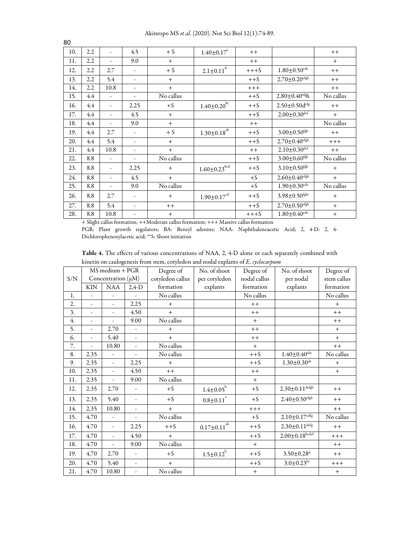Akinropo MS *et al*. (2020). Not Sci Biol 12(1):74-89.

| 10. | 2.2 | ÷.                       | 4.5                      | $+ S$           | $1.40 \pm 0.17$ <sup>a</sup>   | $++$             |                                  | $^+$      |
|-----|-----|--------------------------|--------------------------|-----------------|--------------------------------|------------------|----------------------------------|-----------|
| 11. | 2.2 | $\overline{\phantom{a}}$ | 9.0                      | $+$             |                                | $++$             |                                  | $+$       |
| 12. | 2.2 | 2.7                      | $\overline{\phantom{a}}$ | $+ S$           | $2.1 \pm 0.11^{\overline{d}}$  | $+++S$           | $1.80 \pm 0.50$ cdc              | $++$      |
| 13. | 2.2 | 5.4                      | $\overline{\phantom{a}}$ | $+$             |                                | $++S$            | $2.70 \pm 0.20$ <sup>cfgh</sup>  | $++$      |
| 14. | 2.2 | 10.8                     | $\overline{\phantom{a}}$ | $+$             |                                | $+++$            |                                  | $++$      |
| 15. | 4.4 | $\overline{\phantom{a}}$ | -                        | No callus       |                                | $++S$            | $2.80 \pm 0.40$ <sup>cfg</sup> h | No callus |
| 16. | 4.4 | $\overline{\phantom{a}}$ | 2.25                     | $+S$            | $1.40 \pm 0.20$ <sup>bc</sup>  | $++S$            | $2.50 \pm 0.50$ d <sup>efg</sup> | $++$      |
| 17. | 4.4 | $\overline{\phantom{a}}$ | 4.5                      | $+$             |                                | $++S$            | $2.00 \pm 0.30^{\text{def}}$     | $+$       |
| 18. | 4.4 | $\overline{\phantom{a}}$ | 9.0                      | $+$             |                                | $++$             |                                  | No callus |
| 19. | 4.4 | 2.7                      | $\overline{\phantom{a}}$ | $+ S$           | $1.30{\pm}0.18^{ab}$           | $++S$            | $3.00 \pm 0.50$ <sup>fgh</sup>   | $++$      |
| 20. | 4.4 | 5.4                      | $\overline{\phantom{a}}$ | $+$             |                                | $++S$            | $2.70 \pm 0.40$ <sup>cfgh</sup>  | $+++$     |
| 21. | 4.4 | 10.8                     | $\overline{\phantom{a}}$ | $+$             |                                | $^{\mathrm{++}}$ | $2.10 \pm 0.30$ def              | $++$      |
| 22. | 8.8 | ٠                        | $\overline{\phantom{a}}$ | No callus       |                                | $++S$            | $3.00 \pm 0.60$ <sup>fgh</sup>   | No callus |
| 23. | 8.8 | $\overline{\phantom{a}}$ | 2.25                     | $+$             | $1.60 \pm 0.23$ <sup>bcd</sup> | $++S$            | $3.10 \pm 0.50$ <sup>fgh</sup>   | $+$       |
| 24. | 8.8 | $\overline{\phantom{a}}$ | 4.5                      | $+$             |                                | $+S$             | $2.60 + 0.40$ <sup>cfgh</sup>    | $+$       |
| 25. | 8.8 | ÷.                       | 9.0                      | No callus       |                                | $+S$             | $1.90 \pm 0.30$ <sup>cdc</sup>   | No callus |
| 26. | 8.8 | 2.7                      | $\overline{\phantom{a}}$ | $^{+}$          | $1.90 \pm 0.17$ <sup>cd</sup>  | $++S$            | $3.98 \pm 0.50$ <sup>fghi</sup>  | $+$       |
| 27. | 8.8 | 5.4                      | $\overline{\phantom{a}}$ | $^{\mathrm{+}}$ |                                | $++S$            | $2.70 \pm 0.50$ <sup>cfgh</sup>  | $+$       |
| 28. | 8.8 | 10.8                     |                          | $\! +$          |                                | $+++S$           | $1.80 \pm 0.40$ <sup>cdc</sup>   | $\ddot{}$ |

+ Slight callus formation; ++Moderate callus formation; +++ Massive callus formation

PGR: Plant growth regulators; BA: Benzyl adenine; NAA: Naphthaleneacetic Acid; 2, 4-D: 2, 4- Dichlorophenoxylacetic acid; \*\*S: Shoot initiation

| Table 4. The effects of various concentrations of NAA, 2, 4-D alone or each separately combined with |  |
|------------------------------------------------------------------------------------------------------|--|
| kinetin on caulogenesis from stem, cotyledon and nodal explants of E. cyclocarpum                    |  |

|     |            | MS medium + PGR          |                          | Degree of        | No. of shoot             | Degree of    | No. of shoot                    | Degree of   |
|-----|------------|--------------------------|--------------------------|------------------|--------------------------|--------------|---------------------------------|-------------|
| S/N |            | Concentration $(\mu M)$  |                          | cotyledon callus | per cotyledon            | nodal callus | per nodal                       | stem callus |
|     | <b>KIN</b> | <b>NAA</b>               | $2,4$ -D                 | formation        | explants                 | formation    | explants                        | formation   |
| 1.  | ÷.         | $\omega$                 | $\overline{\phantom{a}}$ | No callus        |                          | No callus    |                                 | No callus   |
| 2.  | ÷.         | $\overline{\phantom{a}}$ | 2.25                     | $+$              |                          | $++$         |                                 | $+$         |
| 3.  |            | $\blacksquare$           | 4.50                     | $+$              |                          | $++$         |                                 | $++$        |
| 4.  |            |                          | 9.00                     | No callus        |                          | $+$          |                                 | $++$        |
| 5.  |            | 2.70                     | ÷,                       | $+$              |                          | $++$         |                                 | $+$         |
| 6.  | ÷.         | 5.40                     | $\overline{\phantom{a}}$ | $+$              |                          | $++$         |                                 | $+$         |
| 7.  |            | 10.80                    | ÷,                       | No callus        |                          | $+$          |                                 | $++$        |
| 8.  | 2.35       | $\omega$                 | $\overline{\phantom{a}}$ | No callus        |                          | $++S$        | $1.40 \pm 0.40$ <sup>abc</sup>  | No callus   |
| 9.  | 2.35       | $\omega$                 | 2.25                     | $+$              |                          | $++S$        | $1.30 \pm 0.30$ <sup>ab</sup>   | $+$         |
| 10. | 2.35       | $\omega$                 | 4.50                     | $++$             |                          | $++$         |                                 | $+$         |
| 11. | 2.35       | $\omega$                 | 9.00                     | No callus        |                          | $+$          |                                 |             |
| 12. | 2.35       | 2.70                     | $\overline{\phantom{a}}$ | $+S$             | $\frac{1.4 \pm 0.05}{h}$ | $+S$         | $2.30{\pm}0.11^{\text{defgh}}$  | $++$        |
| 13. | 2.35       | 5.40                     | -                        | $+S$             | $0.8{\pm}0.11^{^a}$      | $+S$         | $2.40 \pm 0.50$ <sup>cfgh</sup> | $++$        |
| 14. | 2.35       | 10.80                    | $\overline{\phantom{a}}$ | $+$              |                          | $+++$        |                                 | $++$        |
| 15. | 4.70       | $\omega$                 | ÷                        | No callus        |                          | $+S$         | $2.10 \pm 0.17^{\text{cdfg}}$   | No callus   |
| 16. | 4.70       | $\omega$                 | 2.25                     | $++S$            | $0.17 \pm 0.11^{ab}$     | $++S$        | $2.30 \pm 0.11^{\text{defg}}$   | $++$        |
| 17. | 4.70       | $\omega$                 | 4.50                     | $+$              |                          | $++S$        | $2.00 \pm 0.18$ bcdef           | $+++$       |
| 18. | 4.70       | $\overline{\phantom{a}}$ | 9.00                     | No callus        |                          | $+$          |                                 | $++$        |
| 19. | 4.70       | 2.70                     | $\overline{\phantom{a}}$ | $+S$             | $1.5 \pm 0.12^{b}$       | $++S$        | $3.50 \pm 0.28$ <sup>ij</sup>   | $++$        |
| 20. | 4.70       | 5.40                     | $\omega$                 | $+$              |                          | $++S$        | $3.0 \pm 0.23$ hi               | $++++$      |
| 21. | 4.70       | 10.80                    | ÷,                       | No callus        |                          | $+$          |                                 | $+$         |

80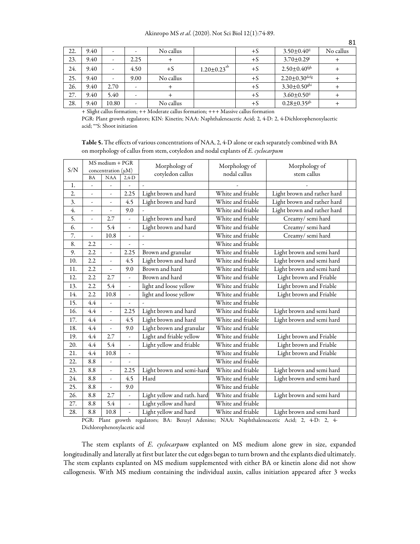| 22. | 9.40 | -     |      | No callus |                      | $+S$ | $3.50 \pm 0.40$ <sup>ij</sup>  | No callus |
|-----|------|-------|------|-----------|----------------------|------|--------------------------------|-----------|
| 23. | 9.40 |       | 2.25 |           |                      | $+S$ | $3.70 \pm 0.29$                |           |
| 24. | 9.40 | ٠     | 4.50 | $+S$      | $1.20 \pm 0.23^{ab}$ | +S   | $2.50 \pm 0.40^{\rm fgh}$      |           |
| 25. | 9.40 | ٠     | 9.00 | No callus |                      | $+S$ | $2.20\pm0.30$ defg             |           |
| 26. | 9.40 | 2.70  |      |           |                      | $+S$ | $3.30 \pm 0.50$ <sup>ghi</sup> |           |
| 27. | 9.40 | 5.40  |      |           |                      | $+S$ | $3.60 \pm 0.50$ <sup>ij</sup>  |           |
| 28. | 9.40 | 10.80 |      | No callus |                      | +S   | $0.28 \pm 0.35$ <sup>gh</sup>  |           |

+ Slight callus formation; ++ Moderate callus formation; +++ Massive callus formation

PGR: Plant growth regulators; KIN: Kinetin; NAA: Naphthaleneacetic Acid; 2, 4-D: 2, 4-Dichlorophenoxylacetic acid; \*\*S: Shoot initiation

| Table 5. The effects of various concentrations of NAA, 2, 4-D alone or each separately combined with BA |  |
|---------------------------------------------------------------------------------------------------------|--|
| on morphology of callus from stem, cotyledon and nodal explants of E. cyclocarpum                       |  |

|     |                | MS medium + PGR          |                | Morphology of               | Morphology of     | Morphology of               |  |
|-----|----------------|--------------------------|----------------|-----------------------------|-------------------|-----------------------------|--|
| S/N |                | concentration $(\mu M)$  |                | cotyledon callus            | nodal callus      | stem callus                 |  |
|     | BA             | <b>NAA</b>               | $2,4-D$        |                             |                   |                             |  |
| 1.  | L,             |                          |                |                             |                   |                             |  |
| 2.  | ÷,             | $\overline{\phantom{a}}$ | 2.25           | Light brown and hard        | White and friable | Light brown and rather hard |  |
| 3.  | $\overline{a}$ | L,                       | 4.5            | Light brown and hard        | White and friable | Light brown and rather hard |  |
| 4.  | $\overline{a}$ |                          | 9.0            |                             | White and friable | Light brown and rather hard |  |
| 5.  | $\overline{a}$ | 2.7                      | ÷,             | Light brown and hard        | White and friable | Creamy/semi hard            |  |
| 6.  | $\overline{a}$ | 5.4                      | ÷,             | Light brown and hard        | White and friable | Creamy/semi hard            |  |
| 7.  | $\frac{1}{2}$  | 10.8                     | ÷,             | ÷,                          | White and friable | Creamy/semi hard            |  |
| 8.  | 2.2            |                          |                |                             | White and friable |                             |  |
| 9.  | 2.2            | ÷,                       | 2.25           | Brown and granular          | White and friable | Light brown and semi hard   |  |
| 10. | 2.2            | $\frac{1}{2}$            | 4.5            | Light brown and hard        | White and friable | Light brown and semi hard   |  |
| 11. | 2.2            | $\blacksquare$           | 9.0            | Brown and hard              | White and friable | Light brown and semi hard   |  |
| 12. | 2.2            | 2.7                      | L,             | Brown and hard              | White and friable | Light brown and Friable     |  |
| 13. | 2.2            | 5.4                      | ÷,             | light and loose yellow      | White and friable | Light brown and Friable     |  |
| 14. | 2.2            | 10.8                     | ÷,             | light and loose yellow      | White and friable | Light brown and Friable     |  |
| 15. | 4.4            | $\blacksquare$           |                |                             | White and friable |                             |  |
| 16. | 4.4            | $\blacksquare$           | 2.25           | Light brown and hard        | White and friable | Light brown and semi hard   |  |
| 17. | 4.4            |                          | 4.5            | Light brown and hard        | White and friable | Light brown and semi hard   |  |
| 18. | 4.4            |                          | 9.0            | Light brown and granular    | White and friable |                             |  |
| 19. | 4.4            | 2.7                      | ÷,             | Light and friable yellow    | White and friable | Light brown and Friable     |  |
| 20. | 4.4            | 5.4                      | $\blacksquare$ | Light yellow and friable    | White and friable | Light brown and Friable     |  |
| 21. | 4.4            | 10.8                     | ÷,             |                             | White and friable | Light brown and Friable     |  |
| 22. | 8.8            |                          |                |                             | White and friable |                             |  |
| 23. | 8.8            | $\overline{a}$           | 2.25           | Light brown and semi-hard   | White and friable | Light brown and semi hard   |  |
| 24. | 8.8            | $\bar{\phantom{a}}$      | 4.5            | Hard                        | White and friable | Light brown and semi hard   |  |
| 25. | 8.8            | ä,                       | 9.0            |                             | White and friable |                             |  |
| 26. | 8.8            | 2.7                      | L.             | Light yellow and rath. hard | White and friable | Light brown and semi hard   |  |
| 27. | 8.8            | 5.4                      | ÷,             | Light yellow and hard       | White and friable |                             |  |
| 28. | 8.8            | 10.8                     | L,             | Light yellow and hard       | White and friable | Light brown and semi hard   |  |

PGR: Plant growth regulators; BA: Benzyl Adenine; NAA: Naphthaleneacetic Acid; 2, 4-D: 2, 4- Dichlorophenoxylacetic acid

The stem explants of *E. cyclocarpum* explanted on MS medium alone grew in size, expanded longitudinally and laterally at first but later the cut edges began to turn brown and the explants died ultimately. The stem explants explanted on MS medium supplemented with either BA or kinetin alone did not show callogenesis. With MS medium containing the individual auxin, callus initiation appeared after 3 weeks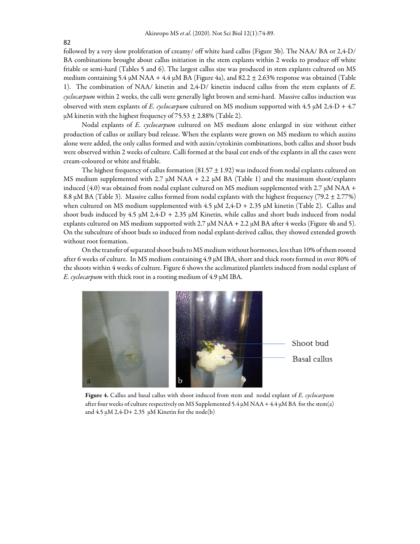followed by a very slow proliferation of creamy/ off white hard callus (Figure 3b). The NAA/ BA or 2,4-D/ BA combinations brought about callus initiation in the stem explants within 2 weeks to produce off white friable or semi-hard (Tables 5 and 6). The largest callus size was produced in stem explants cultured on MS medium containing 5.4  $\mu$ M NAA + 4.4  $\mu$ M BA (Figure 4a), and 82.2  $\pm$  2.63% response was obtained (Table 1). The combination of NAA/ kinetin and 2,4-D/ kinetin induced callus from the stem explants of *E. cyclocarpum* within 2 weeks, the calli were generally light brown and semi-hard. Massive callus induction was observed with stem explants of *E. cyclocarpum* cultured on MS medium supported with 4.5 µM 2,4-D + 4.7  $\mu$ M kinetin with the highest frequency of 75.53  $\pm$  2.88% (Table 2).

Nodal explants of *E. cyclocarpum* cultured on MS medium alone enlarged in size without either production of callus or axillary bud release. When the explants were grown on MS medium to which auxins alone were added, the only callus formed and with auxin/cytokinin combinations, both callus and shoot buds were observed within 2 weeks of culture. Calli formed at the basal cut ends of the explants in all the cases were cream-coloured or white and friable.

The highest frequency of callus formation  $(81.57 \pm 1.92)$  was induced from nodal explants cultured on MS medium supplemented with 2.7  $\mu$ M NAA + 2.2  $\mu$ M BA (Table 1) and the maximum shoot/explants induced (4.0) was obtained from nodal explant cultured on MS medium supplemented with 2.7  $\mu$ M NAA + 8.8 µM BA (Table 3). Massive callus formed from nodal explants with the highest frequency (79.2 ± 2.77%) when cultured on MS medium supplemented with 4.5  $\mu$ M 2,4-D + 2.35  $\mu$ M kinetin (Table 2). Callus and shoot buds induced by 4.5  $\mu$ M 2,4-D + 2.35  $\mu$ M Kinetin, while callus and short buds induced from nodal explants cultured on MS medium supported with  $2.7 \mu M NAA + 2.2 \mu M BA$  after 4 weeks (Figure 4b and 5). On the subculture of shoot buds so induced from nodal explant-derived callus, they showed extended growth without root formation.

On the transfer of separated shoot buds to MS medium without hormones, less than 10% of them rooted after 6 weeks of culture. In MS medium containing 4.9 µM IBA, short and thick roots formed in over 80% of the shoots within 4 weeks of culture. Figure 6 shows the acclimatized plantlets induced from nodal explant of *E. cyclocarpum* with thick root in a rooting medium of 4.9 µM IBA.



Figure 4. Callus and basal callus with shoot induced from stem and nodal explant of *E. cyclocarpum* after four weeks of culture respectively on MS Supplemented 5.4  $\mu$ M NAA + 4.4  $\mu$ M BA for the stem(a) and  $4.5 \mu M 2.4-D+2.35 \mu M$  Kinetin for the node(b)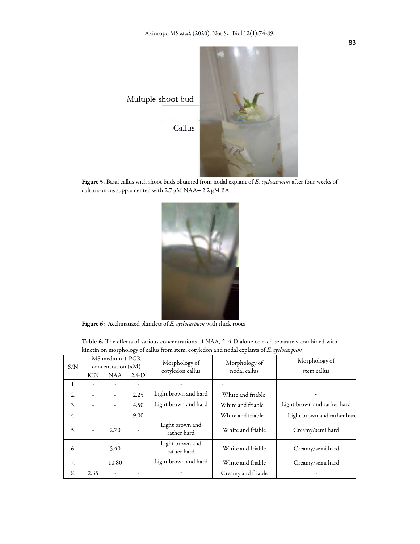

Figure 5. Basal callus with shoot buds obtained from nodal explant of *E. cyclocarpum* after four weeks of culture on ms supplemented with  $2.7 \mu M NAA + 2.2 \mu M BA$ 



Figure 6: Acclimatized plantlets of *E. cyclocarpum* with thick roots

Table 6. The effects of various concentrations of NAA, 2, 4-D alone or each separately combined with kinetin on morphology of callus from stem, cotyledon and nodal explants of *E. cyclocarpum*

| S/N              |                          | $MS$ medium + $PGR$<br>concentration $(\mu M)$ |          | Morphology of<br>cotyledon callus | Morphology of<br>nodal callus | Morphology of<br>stem callus |
|------------------|--------------------------|------------------------------------------------|----------|-----------------------------------|-------------------------------|------------------------------|
|                  | KIN                      | <b>NAA</b>                                     | $2,4$ -D |                                   |                               |                              |
| 1.               |                          |                                                |          |                                   |                               |                              |
| 2.               | $\overline{\phantom{a}}$ | $\overline{\phantom{a}}$                       | 2.25     | Light brown and hard              | White and friable             |                              |
| 3.               | $\overline{\phantom{a}}$ | $\overline{\phantom{0}}$                       | 4.50     | Light brown and hard              | White and friable             | Light brown and rather hard  |
| $\overline{4}$ . | ÷                        | $\overline{\phantom{0}}$                       | 9.00     |                                   | White and friable             | Light brown and rather hard  |
| 5.               | $\overline{\phantom{a}}$ | 2.70                                           |          | Light brown and<br>rather hard    | White and friable             | Creamy/semi hard             |
| 6.               | ٠                        | 5.40                                           |          | Light brown and<br>rather hard    | White and friable             | Creamy/semi hard             |
| 7.               | $\overline{\phantom{a}}$ | 10.80                                          | L.       | Light brown and hard              | White and friable             | Creamy/semi hard             |
| 8.               | 2.35                     | ۰                                              |          |                                   | Creamy and friable            |                              |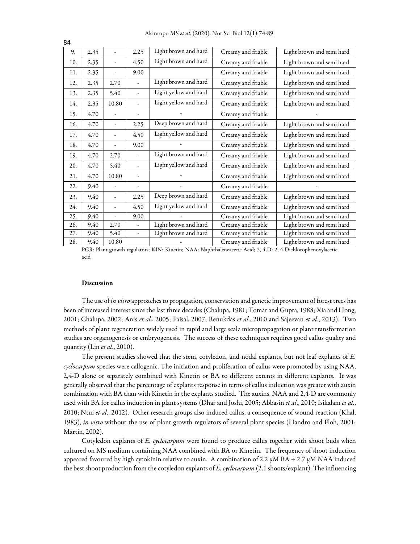| ◡┭  |      |                |                          |                       |                    |                           |
|-----|------|----------------|--------------------------|-----------------------|--------------------|---------------------------|
| 9.  | 2.35 | L,             | 2.25                     | Light brown and hard  | Creamy and friable | Light brown and semi hard |
| 10. | 2.35 | L              | 4.50                     | Light brown and hard  | Creamy and friable | Light brown and semi hard |
| 11. | 2.35 | L              | 9.00                     |                       | Creamy and friable | Light brown and semi hard |
| 12. | 2.35 | 2.70           | $\overline{a}$           | Light brown and hard  | Creamy and friable | Light brown and semi hard |
| 13. | 2.35 | 5.40           | $\overline{\phantom{a}}$ | Light yellow and hard | Creamy and friable | Light brown and semi hard |
| 14. | 2.35 | 10.80          | $\overline{\phantom{a}}$ | Light yellow and hard | Creamy and friable | Light brown and semi hard |
| 15. | 4.70 | ÷,             |                          |                       | Creamy and friable |                           |
| 16. | 4.70 | ÷,             | 2.25                     | Deep brown and hard   | Creamy and friable | Light brown and semi hard |
| 17. | 4.70 |                | 4.50                     | Light yellow and hard | Creamy and friable | Light brown and semi hard |
| 18. | 4.70 | $\overline{a}$ | 9.00                     |                       | Creamy and friable | Light brown and semi hard |
| 19. | 4.70 | 2.70           | $\overline{\phantom{a}}$ | Light brown and hard  | Creamy and friable | Light brown and semi hard |
| 20. | 4.70 | 5.40           | $\overline{\phantom{a}}$ | Light yellow and hard | Creamy and friable | Light brown and semi hard |
| 21. | 4.70 | 10.80          | $\overline{\phantom{a}}$ |                       | Creamy and friable | Light brown and semi hard |
| 22. | 9.40 | L,             |                          |                       | Creamy and friable |                           |
| 23. | 9.40 | L              | 2.25                     | Deep brown and hard   | Creamy and friable | Light brown and semi hard |
| 24. | 9.40 | $\overline{a}$ | 4.50                     | Light yellow and hard | Creamy and friable | Light brown and semi hard |
| 25. | 9.40 | $\overline{a}$ | 9.00                     |                       | Creamy and friable | Light brown and semi hard |
| 26. | 9.40 | 2.70           | ÷,                       | Light brown and hard  | Creamy and friable | Light brown and semi hard |
| 27. | 9.40 | 5.40           | $\overline{\phantom{a}}$ | Light brown and hard  | Creamy and friable | Light brown and semi hard |
| 28. | 9.40 | 10.80          |                          |                       | Creamy and friable | Light brown and semi hard |

PGR: Plant growth regulators; KIN: Kinetin; NAA: Naphthaleneacetic Acid; 2, 4-D: 2, 4-Dichlorophenoxylacetic acid

#### Discussion

The use of *in vitro* approaches to propagation, conservation and genetic improvement of forest trees has been of increased interest since the last three decades (Chalupa, 1981; Tomar and Gupta, 1988; Xia and Hong, 2001; Chalupa, 2002; Anis *et al*., 2005; Faisal, 2007; Renukdas *et al*., 2010 and Sajeevan *et al*., 2013). Two methods of plant regeneration widely used in rapid and large scale micropropagation or plant transformation studies are organogenesis or embryogenesis. The success of these techniques requires good callus quality and quantity (Lin *et al*., 2010).

The present studies showed that the stem, cotyledon, and nodal explants, but not leaf explants of *E. cyclocarpum* species were callogenic. The initiation and proliferation of callus were promoted by using NAA, 2,4-D alone or separately combined with Kinetin or BA to different extents in different explants. It was generally observed that the percentage of explants response in terms of callus induction was greater with auxin combination with BA than with Kinetin in the explants studied. The auxins, NAA and 2,4-D are commonly used with BA for callus induction in plant systems (Dhar and Joshi, 2005; Abbasin *et al*., 2010; Isikalam *et al*., 2010; Ntui *et al*., 2012). Other research groups also induced callus, a consequence of wound reaction (Khal, 1983), *in vitro* without the use of plant growth regulators of several plant species (Handro and Floh, 2001; Martin, 2002).

Cotyledon explants of *E. cyclocarpum* were found to produce callus together with shoot buds when cultured on MS medium containing NAA combined with BA or Kinetin. The frequency of shoot induction appeared favoured by high cytokinin relative to auxin. A combination of 2.2  $\mu$ M BA + 2.7  $\mu$ M NAA induced the best shoot production from the cotyledon explants of *E. cyclocarpum* (2.1 shoots/explant). The influencing

 $84$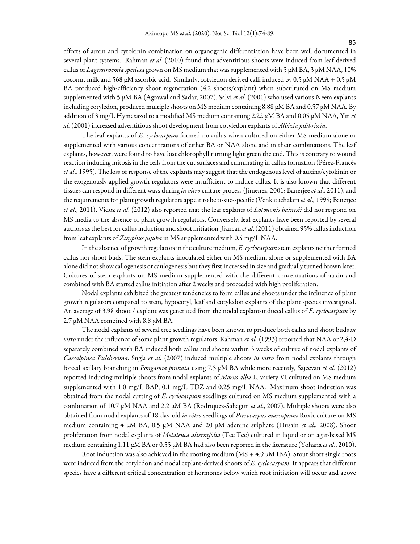effects of auxin and cytokinin combination on organogenic differentiation have been well documented in several plant systems. Rahman *et al*. (2010) found that adventitious shoots were induced from leaf-derived callus of *Lagerstroemia speciosa* grown on MS medium that was supplemented with 5 µM BA, 3 µM NAA, 10% coconut milk and 568 µM ascorbic acid. Similarly, cotyledon derived calli induced by 0.5 µM NAA + 0.5 µM BA produced high-efficiency shoot regeneration (4.2 shoots/explant) when subcultured on MS medium supplemented with 5 µM BA (Agrawal and Sadar, 2007). Salvi *et al*. (2001) who used various Neem explants including cotyledon, produced multiple shoots on MS medium containing 8.88 µM BA and 0.57 µM NAA. By addition of 3 mg/L Hymexazol to a modified MS medium containing 2.22 µM BA and 0.05 µM NAA, Yin *et al.* (2001) increased adventitious shoot development from cotyledon explants of *Albizia julibrissin*.

The leaf explants of *E. cyclocarpum* formed no callus when cultured on either MS medium alone or supplemented with various concentrations of either BA or NAA alone and in their combinations. The leaf explants, however, were found to have lost chlorophyll turning light green the end. This is contrary to wound reaction inducing mitosis in the cells from the cut surfaces and culminating in callus formation (Pérez-Francés *et al*., 1995). The loss of response of the explants may suggest that the endogenous level of auxins/cytokinin or the exogenously applied growth regulators were insufficient to induce callus. It is also known that different tissues can respond in different ways during *in vitro* culture process (Jimenez, 2001; Banerjee *et al*., 2011), and the requirements for plant growth regulators appear to be tissue-specific (Venkatachalam *et al*., 1999; Banerjee *et al*., 2011). Vidoz *et al*. (2012) also reported that the leaf explants of *Lotononis bainesii* did not respond on MS media to the absence of plant growth regulators. Conversely, leaf explants have been reported by several authors as the best for callus induction and shoot initiation. Jiancan *et al*. (2011) obtained 95% callus induction from leaf explants of *Zizyphus jujuba* in MS supplemented with 0.5 mg/L NAA.

In the absence of growth regulators in the culture medium, *E. cyclocarpum* stem explants neither formed callus nor shoot buds. The stem explants inoculated either on MS medium alone or supplemented with BA alone did not show callogenesis or caulogenesis but they first increased in size and gradually turned brown later. Cultures of stem explants on MS medium supplemented with the different concentrations of auxin and combined with BA started callus initiation after 2 weeks and proceeded with high proliferation.

Nodal explants exhibited the greatest tendencies to form callus and shoots under the influence of plant growth regulators compared to stem, hypocotyl, leaf and cotyledon explants of the plant species investigated. An average of 3.98 shoot / explant was generated from the nodal explant-induced callus of *E. cyclocarpum* by 2.7  $\mu$ M NAA combined with 8.8  $\mu$ M BA.

The nodal explants of several tree seedlings have been known to produce both callus and shoot buds *in vitro* under the influence of some plant growth regulators. Rahman *et al.* (1993) reported that NAA or 2,4-D separately combined with BA induced both callus and shoots within 3 weeks of culture of nodal explants of *Caesalpinea Pulcherima*. Sugla *et al.* (2007) induced multiple shoots *in vitro* from nodal explants through forced axillary branching in *Pongamia pinnata* using 7.5 µM BA while more recently, Sajeevan *et al*. (2012) reported inducing multiple shoots from nodal explants of *Morus alba* L. variety VI cultured on MS medium supplemented with 1.0 mg/L BAP, 0.1 mg/L TDZ and 0.25 mg/L NAA. Maximum shoot induction was obtained from the nodal cutting of *E. cyclocarpum* seedlings cultured on MS medium supplemented with a combination of 10.7 µM NAA and 2.2 µM BA (Rodriquez-Sahagun *et al*., 2007). Multiple shoots were also obtained from nodal explants of 18-day-old *in vitro* seedlings of *Pterocarpus marsupium* Roxb. culture on MS medium containing 4 µM BA, 0.5 µM NAA and 20 µM adenine sulphate (Husain *et al*., 2008). Shoot proliferation from nodal explants of *Melaleuca alternifolia* (Tee Tee) cultured in liquid or on agar-based MS medium containing 1.11 µM BA or 0.55 µM BA had also been reported in the literature (Yohana *et al*., 2010).

Root induction was also achieved in the rooting medium ( $MS + 4.9 \mu M$  IBA). Stout short single roots were induced from the cotyledon and nodal explant-derived shoots of *E. cyclocarpum*. It appears that different species have a different critical concentration of hormones below which root initiation will occur and above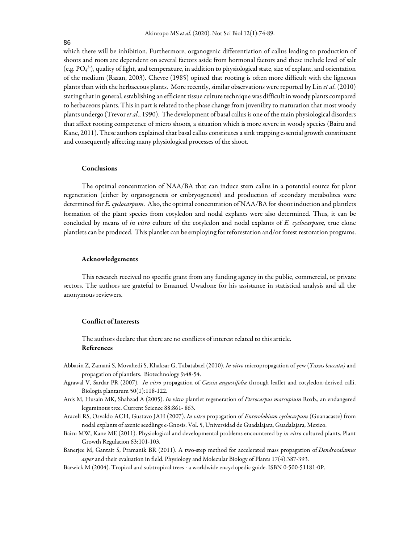#### 86

which there will be inhibition. Furthermore, organogenic differentiation of callus leading to production of shoots and roots are dependent on several factors aside from hormonal factors and these include level of salt (e.g.  $PO_4^3$ ), quality of light, and temperature, in addition to physiological state, size of explant, and orientation of the medium (Razan, 2003). Chevre (1985) opined that rooting is often more difficult with the ligneous plants than with the herbaceous plants. More recently, similar observations were reported by Lin *et al*. (2010) stating that in general, establishing an efficient tissue culture technique was difficult in woody plants compared to herbaceous plants. This in part is related to the phase change from juvenility to maturation that most woody plants undergo (Trevor *et al*., 1990). The development of basal callus is one of the main physiological disorders that affect rooting competence of micro shoots, a situation which is more severe in woody species (Bairu and Kane, 2011). These authors explained that basal callus constitutes a sink trapping essential growth constituent and consequently affecting many physiological processes of the shoot.

#### Conclusions

The optimal concentration of NAA/BA that can induce stem callus in a potential source for plant regeneration (either by organogenesis or embryogenesis) and production of secondary metabolites were determined for *E. cyclocarpum*. Also, the optimal concentration of NAA/BA for shoot induction and plantlets formation of the plant species from cotyledon and nodal explants were also determined. Thus, it can be concluded by means of *in vitro* culture of the cotyledon and nodal explants of *E. cyclocarpum,* true clone plantlets can be produced. This plantlet can be employing for reforestation and/or forest restoration programs.

#### Acknowledgements

This research received no specific grant from any funding agency in the public, commercial, or private sectors. The authors are grateful to Emanuel Uwadone for his assistance in statistical analysis and all the anonymous reviewers.

## Conflict of Interests

The authors declare that there are no conflicts of interest related to this article. References

- Abbasin Z, Zamani S, Movahedi S, Khaksar G, Tabatabael (2010). *In vitro* micropropagation of yew (*Taxus baccata)* and propagation of plantlets. Biotechnology 9:48-54.
- Agrawal V, Sardar PR (2007). *In vitro* propagation of *Cassia angustifolia* through leaflet and cotyledon-derived calli. Biologia plantarum 50(1):118-122.
- Anis M, Husain MK, Shahzad A (2005). *In vitro* plantlet regeneration of *Pterocarpus marsupium* Roxb., an endangered leguminous tree. Current Science 88:861- 863.
- Araceli RS, Osvaldo ACH, Gustavo JAH (2007). *In vitro* propagation of *Enterolobium cyclocarpum* (Guanacaste) from nodal explants of axenic seedlings e-Gnosis. Vol. 5, Universidad de Guadalajara, Guadalajara, Mexico.
- Bairu MW, Kane ME (2011). Physiological and developmental problems encountered by *in vitro* cultured plants. Plant Growth Regulation 63:101-103.
- Banerjee M, Gantait S, Pramanik BR (2011). A two-step method for accelerated mass propagation of *Dendrocalamus asper* and their evaluation in field. Physiology and Molecular Biology of Plants 17(4):387-393.
- Barwick M (2004). Tropical and subtropical trees a worldwide encyclopedic guide. ISBN 0-500-51181-0P.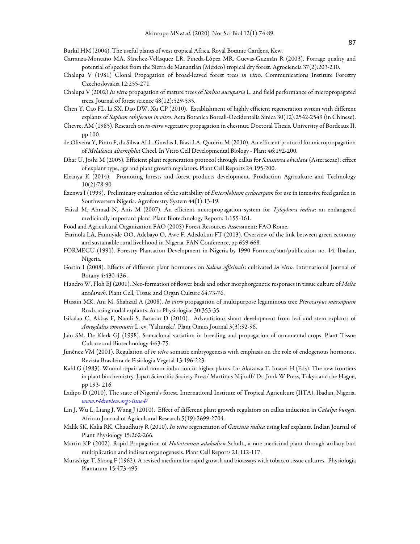Burkil HM (2004). The useful plants of west tropical Africa. Royal Botanic Gardens, Kew.

- Carranza-Montaño MA, Sánchez-Velásquez LR, Pineda-López MR, Cuevas-Guzmán R (2003). Forrage quality and potential of species from the Sierra de Manantlán (México) tropical dry forest. Agrociencia 37(2):203-210.
- Chalupa V (1981) Clonal Propagation of broad-leaved forest trees *in vitro*. Communications Institute Forestry Czechoslovakia 12:255-271.
- Chalupa V (2002) *In vitro* propagation of mature trees of *Sorbus aucuparia* L. and field performance of micropropagated trees. Journal of forest science 48(12):529-535.
- Chen Y, Cao FL, Li SX, Dao DW, Xu CP (2010). Establishment of highly efficient regeneration system with different explants of *Sapium sabiferum in vitro*. Acta Botanica Boreali-Occidentalia Sinica 30(12):2542-2549 (in Chinese).
- Chevre, AM (1985). Research on *in-vitro* vegetative propagation in chestnut. Doctoral Thesis. University of Bordeaux II, pp 100.
- de Oliveira Y, Pinto F, da Silwa ALL, Guedas I, Biasi LA, Quoirin M (2010). An efficient protocol for micropropagation of *Melaleuca alternifolia* Cheel. In Vitro Cell Developmental Biology - Plant 46:192-200.
- Dhar U, Joshi M (2005). Efficient plant regeneration protocol through callus for *Saussurea obvalata* (Asteraceae): effect of explant type, age and plant growth regulators. Plant Cell Reports 24:195-200.
- Eleanya K (2014). Promoting forests and forest products development. Production Agriculture and Technology 10(2):78-90.
- Ezenwa I (1999). Preliminary evaluation of the suitability of *Enterolobium cyclocarpum* for use in intensive feed garden in Southwestern Nigeria. Agroforestry System 44(1):13-19.
- Faisal M, Ahmad N, Anis M (2007). An efficient micropropagation system for *Tylophora indica*: an endangered medicinally important plant. Plant Biotechnology Reports 1:155-161.
- Food and Agricultural Organization FAO (2005) Forest Resources Assessment: FAO Rome.
- Farinola LA, Famuyide OO, Adebayo O, Awe F, Adedokun FT (2013). Overview of the link between green economy and sustainable rural livelihood in Nigeria. FAN Conference, pp 659-668.
- FORMECU (1991). Forestry Plantation Development in Nigeria by 1990 Formecu/stat/publication no. 14, Ibadan, Nigeria.
- Gostin I (2008). Effects of different plant hormones on *Salvia officinalis* cultivated *in vitro*. International Journal of Botany 4:430-436 .
- Handro W, Floh EJ (2001). Neo-formation of flower buds and other morphorgenetic responses in tissue culture of *Melia azedarach.* Plant Cell, Tissue and Organ Culture 64:73-76.
- Husain MK, Ani M, Shahzad A (2008). *In vitro* propagation of multipurpose leguminous tree *Pterocarpus marsupium* Roxb. using nodal explants. Acta Physiologiae 30:353-35.
- Isikalan C, Akbas F, Namli S, Basaran D (2010). Adventitious shoot development from leaf and stem explants of *Amygdalus communis* L. cv. 'Yaltunski'. Plant Omics Journal 3(3):92-96.
- Jain SM, De Klerk GJ (1998). Somaclonal variation in breeding and propagation of ornamental crops. Plant Tissue Culture and Biotechnology 4:63-75.
- Jiménez VM (2001). Regulation of *in vitro* somatic embryogenesis with emphasis on the role of endogenous hormones. Revista Brasileira de Fisiologia Vegetal 13:196-223.
- Kahl G (1983). Wound repair and tumor induction in higher plants. In: Akazawa T, Imasei H (Eds). The new frontiers in plant biochemistry. Japan Scientific Society Press/ Martinus Nijhoff/ Dr. Junk W Press, Tokyo and the Hague, pp 193- 216.
- Ladipo D (2010). The state of Nigeria's forest. International Institute of Tropical Agriculture (IITA), Ibadan, Nigeria. *www.r4dreview.org>issue4/*
- Lin J, Wu L, Liang J, Wang J (2010). Effect of different plant growth regulators on callus induction in *Catalpa bungei*. African Journal of Agricultural Research 5(19):2699-2704.
- Malik SK, Kalia RK, Chaudhury R (2010). *In vitro* regeneration of *Garcinia indica* using leaf explants. Indian Journal of Plant Physiology 15:262-266.
- Martin KP (2002). Rapid Propagation of *Holostemma adakodien* Schult., a rare medicinal plant through axillary bud multiplication and indirect organogenesis. Plant Cell Reports 21:112-117.
- Murashige T, Skoog F (1962). A revised medium for rapid growth and bioassays with tobacco tissue cultures. Physiologia Plantarum 15:473-495.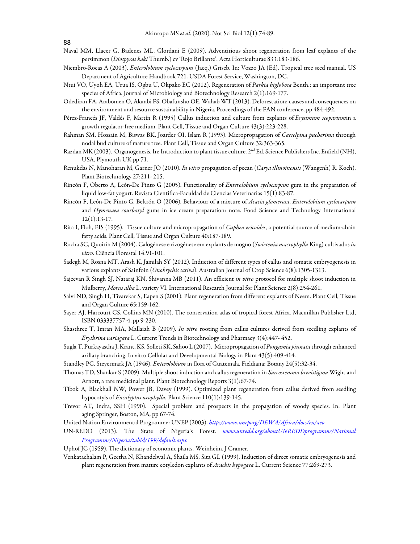- Naval MM, Llacer G, Badenes ML, Glordani E (2009). Adventitious shoot regeneration from leaf explants of the persimmon (*Diospyras kaki* Thumb.) cv 'Rojo Brillante'. Acta Horticulturae 833:183-186.
- Niembro-Rocas A (2003). *Enterolobium cyclocarpum* (Jacq.) Griseb. In: Vozzo JA (Ed). Tropical tree seed manual. US Department of Agriculture Handbook 721. USDA Forest Service, Washington, DC.
- Ntui VO, Uyoh EA, Urua IS, Ogbu U, Okpako EC (2012). Regeneration of *Parkia biglobosa* Benth.: an important tree species of Africa. Journal of Microbiology and Biotechnology Research 2(1):169-177.
- Odediran FA, Arabomen O, Akanbi FS, Obafunsho OE, Wahab WT (2013). Deforestation: causes and consequences on the environment and resource sustainability in Nigeria. Proceedings of the FAN conference, pp 484-492.
- Pérez-Francés JF, Valdés F, Msrtín R (1995) Callus induction and culture from explants of *Erysimum scoparium*in a growth regulator-free medium. Plant Cell, Tissue and Organ Culture 43(3):223-228.
- Rahman SM, Hossain M, Biswas BK, Joarder OI, Islam R (1993). Micropropagation of *Caeselpina pucherima* through nodal bud culture of mature tree. Plant Cell, Tissue and Organ Culture 32:363-365.
- Razdan MK (2003). Organogenesis. In: Introduction to plant tissue culture. 2<sup>nd</sup> Ed. Science Publishers Inc. Enfield (NH), USA, Plymouth UK pp 71.
- Renukdas N, Manoharan M, Garner JO (2010). *In vitro* propagation of pecan (*Carya illinoinensis* (Wangenh) R. Koch). Plant Biotechnology 27:211- 215.
- Rincón F, Oberto A, León-De Pinto G (2005). Functionality of *Enterolobium cyclocarpum* gum in the preparation of liquid low-fat yogurt. Revista Cientifica-Faculdad de Ciencias Veterinarias 15(1):83-87.
- Rincón F, León-De Pinto G, Beltrón O (2006). Behaviour of a mixture of *Acacia glomerosa*, *Enterolobium cyclocarpum*  and *Hymenaea courbaryl* gums in ice cream preparation: note. Food Science and Technology International 12(1):13-17.
- Rita I, Floh, EIS (1995). Tissue culture and micropropagation of *Cuphea ericoides*, a potential source of medium-chain fatty acids. Plant Cell, Tissue and Organ Culture 40:187-189.
- Rocha SC, Quoirin M (2004). Calogênese e rizogênese em explants de mogno (*Swietenia macrophylla* King) cultivados *in vitro*. Ciência Florestal 14:91-101.
- Sadegh M, Rosna MT, Arash K, Jamilah SY (2012). Induction of different types of callus and somatic embryogenesis in various explants of Sainfoin (*Onobrychis sativa*). Australian Journal of Crop Science 6(8):1305-1313.
- Sajeevan R Singh SJ, Nataraj KN, Shivanna MB (2011). An efficient *in vitro* protocol for multiple shoot induction in Mulberry, *Morus alba* L. variety VI. International Research Journal for Plant Science 2(8):254-261.
- Salvi ND, Singh H, Tivarekar S, Eapen S (2001). Plant regeneration from different explants of Neem. Plant Cell, Tissue and Organ Culture 65:159-162.
- Sayer AJ, Harcourt CS, Collins MN (2010). The conservation atlas of tropical forest Africa. Macmillan Publisher Ltd, ISBN 033337757-4, pp 9-230.
- Shasthree T, Imran MA, Mallaiah B (2009). *In vitro* rooting from callus cultures derived from seedling explants of *Erythrina variagata* L. Current Trends in Biotechnology and Pharmacy 3(4):447- 452.
- Sugla T, Purkayastha J, Krant, KS, Solleti SK, Sahoo L (2007). Micropropagation of *Pongamia pinnata* through enhanced axillary branching. In vitro Cellular and Developmental Biology in Plant 43(5):409-414.
- Standley PC, Steyermark JA (1946). *Enterolobium* in flora of Guatemala. Fieldiana: Botany 24(5):32-34.
- Thomas TD, Shankar S (2009). Multiple shoot induction and callus regeneration in *Sarcostemma brevistigma* Wight and Arnott, a rare medicinal plant. Plant Biotechnology Reports 3(1):67-74.
- Tibok A, Blackhall NW, Power JB, Davey (1999). Optimized plant regeneration from callus derived from seedling hypocotyls of *Eucalyptus urophylla.* Plant Science 110(1):139-145.
- Trevor AT, Indra, SSH (1990). Special problem and prospects in the propagation of woody species. In: Plant aging Springer, Boston, MA, pp 67-74.
- United Nation Environmental Programme: UNEP (2003). *http://www.uneporg/DEWA/Africa/docs/en/aeo*
- UN-REDD (2013). The State of Nigeria's Forest. *www.unredd.org/aboutUNREDDprogramme/National Programme/Nigeria/tabid/199/default.aspx*
- Uphof JC (1959). The dictionary of economic plants. Weinheim, J Cramer.
- Venkatachalam P, Geetha N, Khandelwal A, Shaila MS, Sita GL (1999). Induction of direct somatic embryogenesis and plant regeneration from mature cotyledon explants of *Arachis hypogaea* L. Current Science 77:269-273.